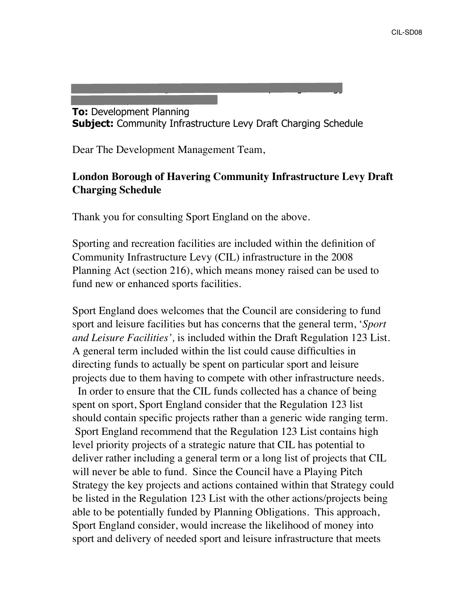**To:** Development Planning **Subject:** Community Infrastructure Levy Draft Charging Schedule

**From:** Mark Furnish [mailto:Mark.Furnish@sportengland.org]

Dear The Development Management Team,

**Sent:** 20 September 2018 17:01

## **London Borough of Havering Community Infrastructure Levy Draft Charging Schedule**

Thank you for consulting Sport England on the above.

Sporting and recreation facilities are included within the definition of Community Infrastructure Levy (CIL) infrastructure in the 2008 Planning Act (section 216), which means money raised can be used to fund new or enhanced sports facilities.

Sport England does welcomes that the Council are considering to fund sport and leisure facilities but has concerns that the general term, '*Sport and Leisure Facilities',* is included within the Draft Regulation 123 List*.*  A general term included within the list could cause difficulties in directing funds to actually be spent on particular sport and leisure projects due to them having to compete with other infrastructure needs.

 In order to ensure that the CIL funds collected has a chance of being spent on sport, Sport England consider that the Regulation 123 list should contain specific projects rather than a generic wide ranging term. Sport England recommend that the Regulation 123 List contains high level priority projects of a strategic nature that CIL has potential to deliver rather including a general term or a long list of projects that CIL will never be able to fund. Since the Council have a Playing Pitch Strategy the key projects and actions contained within that Strategy could be listed in the Regulation 123 List with the other actions/projects being able to be potentially funded by Planning Obligations. This approach, Sport England consider, would increase the likelihood of money into sport and delivery of needed sport and leisure infrastructure that meets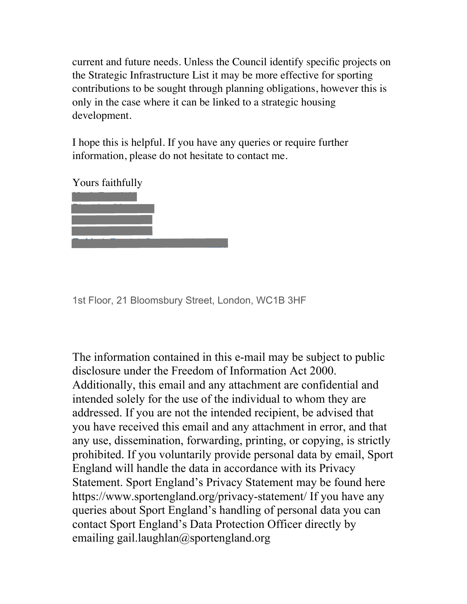current and future needs. Unless the Council identify specific projects on the Strategic Infrastructure List it may be more effective for sporting contributions to be sought through planning obligations, however this is only in the case where it can be linked to a strategic housing development.

I hope this is helpful. If you have any queries or require further information, please do not hesitate to contact me.

Yours faithfully



1st Floor, 21 Bloomsbury Street, London, WC1B 3HF

The information contained in this e-mail may be subject to public disclosure under the Freedom of Information Act 2000. Additionally, this email and any attachment are confidential and intended solely for the use of the individual to whom they are addressed. If you are not the intended recipient, be advised that you have received this email and any attachment in error, and that any use, dissemination, forwarding, printing, or copying, is strictly prohibited. If you voluntarily provide personal data by email, Sport England will handle the data in accordance with its Privacy Statement. Sport England's Privacy Statement may be found here <https://www.sportengland.org/privacy-statement>/ If you have any queries about Sport England's handling of personal data you can contact Sport England's Data Protection Officer directly by emailing gail.laughlan@sportengland.org